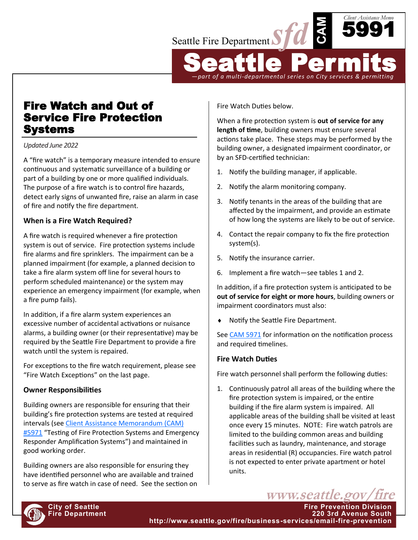

*—part of a multi-departmental series on City services & permitting*

# Fire Watch and Out of Service Fire Protection Systems

*Updated June 2022*

A "fire watch" is a temporary measure intended to ensure continuous and systematic surveillance of a building or part of a building by one or more qualified individuals. The purpose of a fire watch is to control fire hazards, detect early signs of unwanted fire, raise an alarm in case of fire and notify the fire department.

## **When is a Fire Watch Required?**

A fire watch is required whenever a fire protection system is out of service. Fire protection systems include fire alarms and fire sprinklers. The impairment can be a planned impairment (for example, a planned decision to take a fire alarm system off line for several hours to perform scheduled maintenance) or the system may experience an emergency impairment (for example, when a fire pump fails).

In addition, if a fire alarm system experiences an excessive number of accidental activations or nuisance alarms, a building owner (or their representative) may be required by the Seattle Fire Department to provide a fire watch until the system is repaired.

For exceptions to the fire watch requirement, please see "Fire Watch Exceptions" on the last page.

# **Owner Responsibilities**

Building owners are responsible for ensuring that their building's fire protection systems are tested at required intervals (see [Client Assistance Memorandum \(CAM\)](http://www.seattle.gov/fire/business-services/fire-code-and-fire-safety-documents#clientassistancememos)  [#5971](http://www.seattle.gov/fire/business-services/fire-code-and-fire-safety-documents#clientassistancememos) "Testing of Fire Protection Systems and Emergency Responder Amplification Systems") and maintained in good working order.

Building owners are also responsible for ensuring they have identified personnel who are available and trained to serve as fire watch in case of need. See the section on Fire Watch Duties below.

When a fire protection system is **out of service for any length of time**, building owners must ensure several actions take place. These steps may be performed by the building owner, a designated impairment coordinator, or by an SFD-certified technician:

- 1. Notify the building manager, if applicable.
- 2. Notify the alarm monitoring company.
- 3. Notify tenants in the areas of the building that are affected by the impairment, and provide an estimate of how long the systems are likely to be out of service.
- 4. Contact the repair company to fix the fire protection system(s).
- 5. Notify the insurance carrier.
- 6. Implement a fire watch—see tables 1 and 2.

In addition, if a fire protection system is anticipated to be **out of service for eight or more hours**, building owners or impairment coordinators must also:

◆ Notify the Seattle Fire Department.

See [CAM 5971](http://www.seattle.gov/fire/firecode) for information on the notification process and required timelines.

#### **Fire Watch Duties**

Fire watch personnel shall perform the following duties:

1. Continuously patrol all areas of the building where the fire protection system is impaired, or the entire building if the fire alarm system is impaired. All applicable areas of the building shall be visited at least once every 15 minutes. NOTE: Fire watch patrols are limited to the building common areas and building facilities such as laundry, maintenance, and storage areas in residential (R) occupancies. Fire watch patrol is not expected to enter private apartment or hotel units.

www.seattle.gov

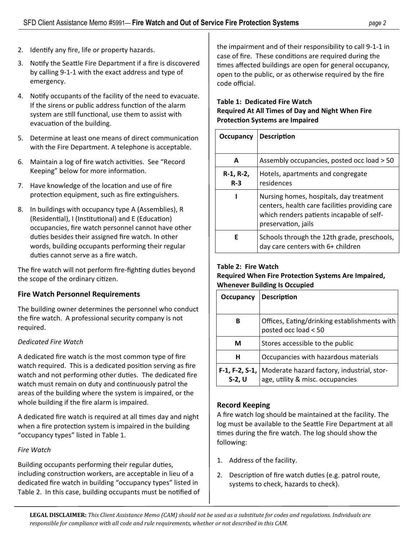- 2. Identify any fire, life or property hazards.
- 3. Notify the Seattle Fire Department if a fire is discovered by calling 9-1-1 with the exact address and type of emergency.
- 4. Notify occupants of the facility of the need to evacuate. If the sirens or public address function of the alarm system are still functional, use them to assist with evacuation of the building.
- 5. Determine at least one means of direct communication with the Fire Department. A telephone is acceptable.
- 6. Maintain a log of fire watch activities. See "Record Keeping" below for more information.
- 7. Have knowledge of the location and use of fire protection equipment, such as fire extinguishers.
- 8. In buildings with occupancy type A (Assemblies), R (Residential), I (Institutional) and E (Education) occupancies, fire watch personnel cannot have other duties besides their assigned fire watch. In other words, building occupants performing their regular duties cannot serve as a fire watch.

The fire watch will not perform fire-fighting duties beyond the scope of the ordinary citizen.

# **Fire Watch Personnel Requirements**

The building owner determines the personnel who conduct the fire watch. A professional security company is not required.

#### *Dedicated Fire Watch*

A dedicated fire watch is the most common type of fire watch required. This is a dedicated position serving as fire watch and not performing other duties. The dedicated fire watch must remain on duty and continuously patrol the areas of the building where the system is impaired, or the whole building if the fire alarm is impaired.

A dedicated fire watch is required at all times day and night when a fire protection system is impaired in the building "occupancy types" listed in Table 1.

# *Fire Watch*

Building occupants performing their regular duties, including construction workers, are acceptable in lieu of a dedicated fire watch in building "occupancy types" listed in Table 2. In this case, building occupants must be notified of the impairment and of their responsibility to call 9-1-1 in case of fire. These conditions are required during the times affected buildings are open for general occupancy, open to the public, or as otherwise required by the fire code official.

#### **Table 1: Dedicated Fire Watch Required At All Times of Day and Night When Fire Protection Systems are Impaired**

| Occupancy          | <b>Description</b>                                                                                                                                            |
|--------------------|---------------------------------------------------------------------------------------------------------------------------------------------------------------|
| A                  | Assembly occupancies, posted occ load > 50                                                                                                                    |
| R-1, R-2,<br>$R-3$ | Hotels, apartments and congregate<br>residences                                                                                                               |
|                    | Nursing homes, hospitals, day treatment<br>centers, health care facilities providing care<br>which renders patients incapable of self-<br>preservation, jails |
| F                  | Schools through the 12th grade, preschools,<br>day care centers with 6+ children                                                                              |

## **Table 2: Fire Watch**

#### **Required When Fire Protection Systems Are Impaired, Whenever Building Is Occupied**

| Occupancy                  | <b>Description</b>                                                             |
|----------------------------|--------------------------------------------------------------------------------|
| в                          | Offices, Eating/drinking establishments with<br>posted occ load < 50           |
| М                          | Stores accessible to the public                                                |
| н                          | Occupancies with hazardous materials                                           |
| F-1, F-2, S-1,<br>$S-2, U$ | Moderate hazard factory, industrial, stor-<br>age, utility & misc. occupancies |

# **Record Keeping**

A fire watch log should be maintained at the facility. The log must be available to the Seattle Fire Department at all times during the fire watch. The log should show the following:

- 1. Address of the facility.
- 2. Description of fire watch duties (e.g. patrol route, systems to check, hazards to check).